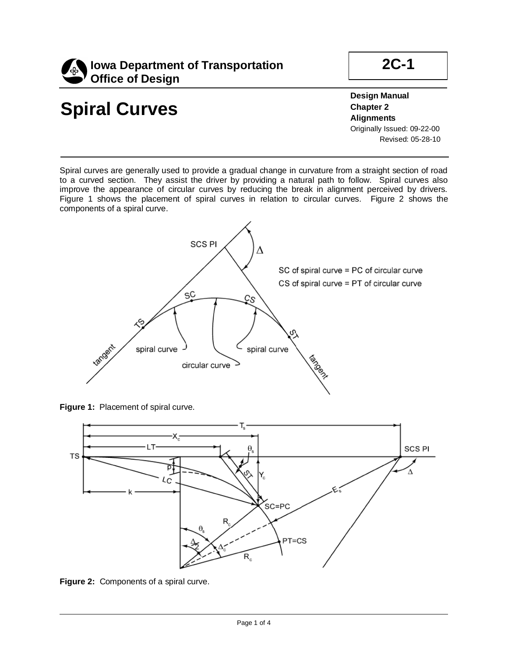

# **Spiral Curves**

İ

**Design Manual Chapter 2 Alignments** Originally Issued: 09-22-00 Revised: 05-28-10

**2C-1**

Spiral curves are generally used to provide a gradual change in curvature from a straight section of road to a curved section. They assist the driver by providing a natural path to follow. Spiral curves also improve the appearance of circular curves by reducing the break in alignment perceived by drivers. Figure 1 shows the placement of spiral curves in relation to circular curves. Figure 2 shows the components of a spiral curve.



**Figure 1: Placement of spiral curve.** 



**Figure 2:** Components of a spiral curve.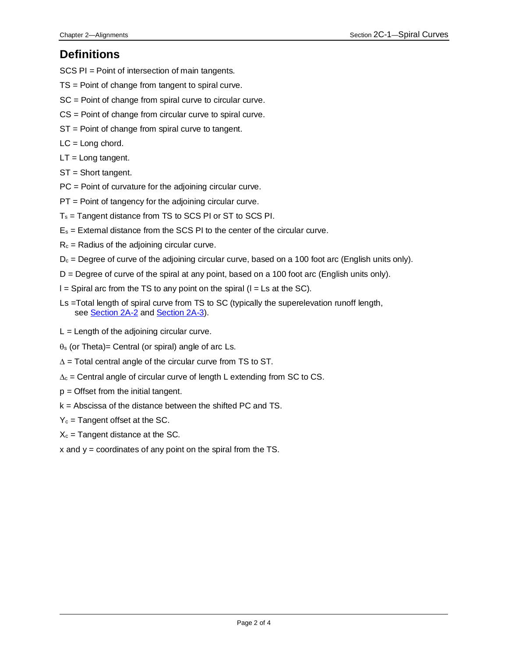#### **Definitions**

SCS PI = Point of intersection of main tangents.

- TS = Point of change from tangent to spiral curve.
- SC = Point of change from spiral curve to circular curve.
- CS = Point of change from circular curve to spiral curve.
- ST = Point of change from spiral curve to tangent.
- $LC = Long chord.$
- $LT = Long$  tangent.
- ST = Short tangent.
- PC = Point of curvature for the adjoining circular curve.
- PT = Point of tangency for the adjoining circular curve.
- T<sup>s</sup> = Tangent distance from TS to SCS PI or ST to SCS PI.
- $E_s$  = External distance from the SCS PI to the center of the circular curve.
- $R_c$  = Radius of the adjoining circular curve.
- $D_c$  = Degree of curve of the adjoining circular curve, based on a 100 foot arc (English units only).
- D = Degree of curve of the spiral at any point, based on a 100 foot arc (English units only).
- $I =$  Spiral arc from the TS to any point on the spiral ( $I = Ls$  at the SC).
- Ls =Total length of spiral curve from TS to SC (typically the superelevation runoff length, see **Section 2A-2** and **Section 2A-3**).
- $L =$  Length of the adjoining circular curve.
- $\theta$ s (or Theta)= Central (or spiral) angle of arc Ls.
- $\Delta$  = Total central angle of the circular curve from TS to ST.
- $\Delta_c$  = Central angle of circular curve of length L extending from SC to CS.
- $p =$  Offset from the initial tangent.
- k = Abscissa of the distance between the shifted PC and TS.
- $Y_c$  = Tangent offset at the SC.
- $X_c$  = Tangent distance at the SC.
- $x$  and  $y =$  coordinates of any point on the spiral from the TS.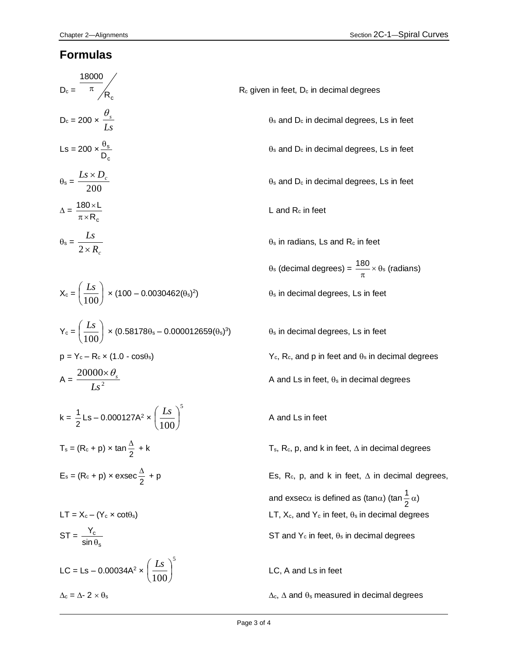#### **Formulas**

| $D_c = \frac{18000}{\pi} / R_c$                                                        | R <sub>c</sub> given |
|----------------------------------------------------------------------------------------|----------------------|
| $D_c = 200 \times \frac{\theta_s}{Ls}$                                                 | $\epsilon$           |
| Ls = 200 $\times \frac{\theta_s}{D_c}$                                                 | $\epsilon$           |
| $\theta_{\rm s} = \frac{L s \times D_c}{200}$                                          | $\epsilon$           |
| $\Delta = \frac{180 \times L}{\pi \times R_c}$                                         |                      |
| $\theta_s = \frac{Ls}{2 \times R_s}$                                                   | €                    |
|                                                                                        | $\epsilon$           |
| $X_c = \left(\frac{Ls}{100}\right) \times (100 - 0.0030462(\theta_s)^2)$               | €                    |
| $Y_c = \left(\frac{Ls}{100}\right) \times (0.58178\theta_s - 0.000012659(\theta_s)^3)$ | €                    |
| $p = Y_c - R_c \times (1.0 - \cos\theta_s)$                                            |                      |
| $A = \frac{20000 \times \theta_s}{I_s^2}$                                              |                      |
| $k = \frac{1}{2}$ Ls – 0.000127A <sup>2</sup> × $\left(\frac{Ls}{100}\right)^3$        | $\overline{1}$       |
| T <sub>s</sub> = (R <sub>c</sub> + p) × tan $\frac{\Delta}{2}$ + k                     |                      |
| E <sub>s</sub> = (R <sub>c</sub> + p) × exsec $\frac{\Delta}{2}$ + p                   |                      |
|                                                                                        | ĉ                    |
| $LT = X_c - (Y_c \times \cot\theta_s)$                                                 |                      |
| $ST = \frac{Y_c}{\sin \theta_s}$                                                       | Ś                    |
| LC = Ls – 0.00034A <sup>2</sup> $\times$ $\left(\frac{Ls}{100}\right)^{5}$             | $\overline{L}$       |

in feet, D<sub>c</sub> in decimal degrees

 $\theta_s$  and  $D_c$  in decimal degrees, Ls in feet

 $\theta_s$  and  $D_c$  in decimal degrees, Ls in feet

 $\theta_s$  and  $D_c$  in decimal degrees, Ls in feet

 $L$  and  $R_c$  in feet

 $\theta_s$  in radians, Ls and  $R_c$  in feet

 $\theta_s$  (decimal degrees) =  $\frac{180}{\pi} \times$  $\frac{180}{180}$  ×  $\theta_s$  (radians)  $\theta$ <sub>s</sub> in decimal degrees, Ls in feet

)<sub>s</sub> in decimal degrees, Ls in feet

 $Y_c$ , R<sub>c</sub>, and p in feet and  $\theta_s$  in decimal degrees

A and Ls in feet,  $\theta_s$  in decimal degrees

A and Ls in feet

 $\mathsf{F}_s$ , R<sub>c</sub>, p, and k in feet,  $\Delta$  in decimal degrees

Es, R<sub>c</sub>, p, and k in feet,  $\Delta$  in decimal degrees, and exsec $\alpha$  is defined as (tan $\alpha$ ) (tan $\frac{1}{2}$  $\frac{1}{2}$   $\alpha$ )  $-$ T, X<sub>c</sub>, and Y<sub>c</sub> in feet,  $\theta$ <sub>s</sub> in decimal degrees ST and  $Y_c$  in feet,  $\theta_s$  in decimal degrees

LC, A and Ls in feet

 $\Delta_c = \Delta - 2 \times \theta_s$   $\Delta_c$ ,  $\Delta$  and  $\theta_s$  measured in decimal degrees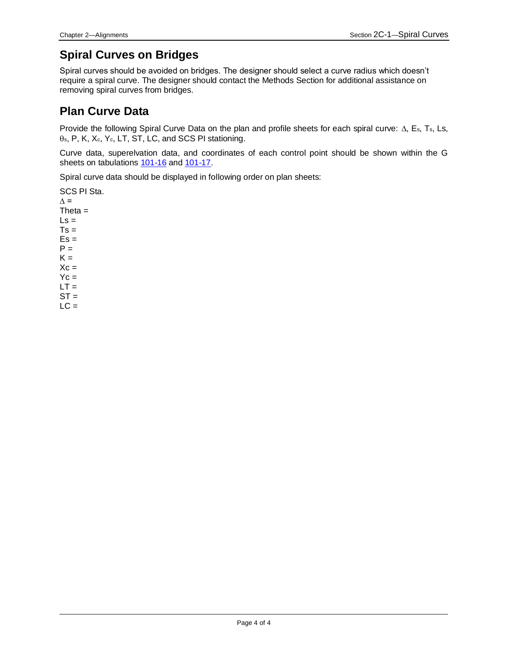### **Spiral Curves on Bridges**

Spiral curves should be avoided on bridges. The designer should select a curve radius which doesn't require a spiral curve. The designer should contact the Methods Section for additional assistance on removing spiral curves from bridges.

#### **Plan Curve Data**

Provide the following Spiral Curve Data on the plan and profile sheets for each spiral curve:  $\Delta$ , E<sub>s</sub>, T<sub>s</sub>, Ls,  $\theta$ s, P, K, Xc, Yc, LT, ST, LC, and SCS PI stationing.

Curve data, superelvation data, and coordinates of each control point should be shown within the G sheets on tabulations [101-16](../tnt/PDFsandWebFiles/IndividualPDFs/0101-16.PDF) an[d 101-17.](../tnt/PDFsandWebFiles/IndividualPDFs/0101-17.PDF)

Spiral curve data should be displayed in following order on plan sheets:

```
SCS PI Sta.
\Delta =
Theta=\mathsf{Ls} =Ts =Es =P =K =Xc =Yc =LT =ST =LC =
```